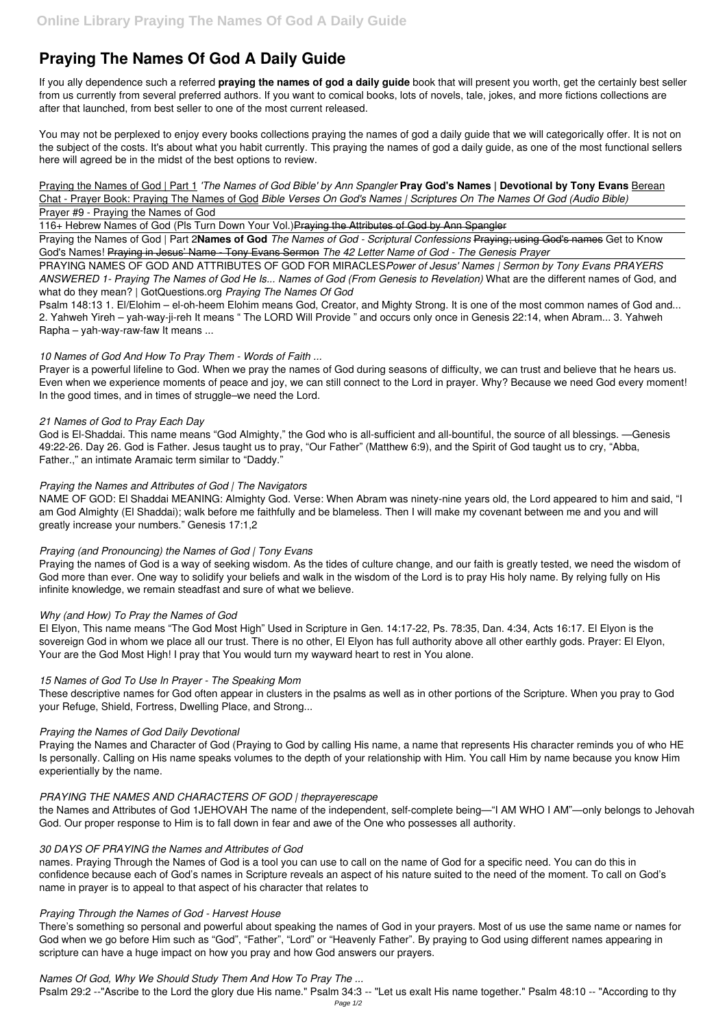# **Praying The Names Of God A Daily Guide**

If you ally dependence such a referred **praying the names of god a daily guide** book that will present you worth, get the certainly best seller from us currently from several preferred authors. If you want to comical books, lots of novels, tale, jokes, and more fictions collections are after that launched, from best seller to one of the most current released.

You may not be perplexed to enjoy every books collections praying the names of god a daily guide that we will categorically offer. It is not on the subject of the costs. It's about what you habit currently. This praying the names of god a daily guide, as one of the most functional sellers here will agreed be in the midst of the best options to review.

Praying the Names of God | Part 1 *'The Names of God Bible' by Ann Spangler* **Pray God's Names | Devotional by Tony Evans** Berean Chat - Prayer Book: Praying The Names of God *Bible Verses On God's Names | Scriptures On The Names Of God (Audio Bible)*

### Prayer #9 - Praying the Names of God

116+ Hebrew Names of God (Pls Turn Down Your Vol.)Praying the Attributes of God by Ann Spangler

Praying the Names of God | Part 2**Names of God** *The Names of God - Scriptural Confessions* Praying; using God's names Get to Know God's Names! Praying in Jesus' Name - Tony Evans Sermon *The 42 Letter Name of God - The Genesis Prayer*

PRAYING NAMES OF GOD AND ATTRIBUTES OF GOD FOR MIRACLES*Power of Jesus' Names | Sermon by Tony Evans PRAYERS ANSWERED 1- Praying The Names of God He Is... Names of God (From Genesis to Revelation)* What are the different names of God, and what do they mean? | GotQuestions.org *Praying The Names Of God*

Psalm 148:13 1. El/Elohim – el-oh-heem Elohim means God, Creator, and Mighty Strong. It is one of the most common names of God and... 2. Yahweh Yireh – yah-way-ji-reh It means " The LORD Will Provide " and occurs only once in Genesis 22:14, when Abram... 3. Yahweh Rapha – yah-way-raw-faw It means ...

# *10 Names of God And How To Pray Them - Words of Faith ...*

Prayer is a powerful lifeline to God. When we pray the names of God during seasons of difficulty, we can trust and believe that he hears us. Even when we experience moments of peace and joy, we can still connect to the Lord in prayer. Why? Because we need God every moment! In the good times, and in times of struggle–we need the Lord.

### *21 Names of God to Pray Each Day*

God is El-Shaddai. This name means "God Almighty," the God who is all-sufficient and all-bountiful, the source of all blessings. —Genesis 49:22-26. Day 26. God is Father. Jesus taught us to pray, "Our Father" (Matthew 6:9), and the Spirit of God taught us to cry, "Abba, Father.," an intimate Aramaic term similar to "Daddy."

# *Praying the Names and Attributes of God | The Navigators*

NAME OF GOD: El Shaddai MEANING: Almighty God. Verse: When Abram was ninety-nine years old, the Lord appeared to him and said, "I am God Almighty (El Shaddai); walk before me faithfully and be blameless. Then I will make my covenant between me and you and will greatly increase your numbers." Genesis 17:1,2

# *Praying (and Pronouncing) the Names of God | Tony Evans*

Praying the names of God is a way of seeking wisdom. As the tides of culture change, and our faith is greatly tested, we need the wisdom of God more than ever. One way to solidify your beliefs and walk in the wisdom of the Lord is to pray His holy name. By relying fully on His infinite knowledge, we remain steadfast and sure of what we believe.

### *Why (and How) To Pray the Names of God*

El Elyon, This name means "The God Most High" Used in Scripture in Gen. 14:17-22, Ps. 78:35, Dan. 4:34, Acts 16:17. El Elyon is the sovereign God in whom we place all our trust. There is no other, El Elyon has full authority above all other earthly gods. Prayer: El Elyon, Your are the God Most High! I pray that You would turn my wayward heart to rest in You alone.

### *15 Names of God To Use In Prayer - The Speaking Mom*

These descriptive names for God often appear in clusters in the psalms as well as in other portions of the Scripture. When you pray to God your Refuge, Shield, Fortress, Dwelling Place, and Strong...

# *Praying the Names of God Daily Devotional*

Praying the Names and Character of God (Praying to God by calling His name, a name that represents His character reminds you of who HE Is personally. Calling on His name speaks volumes to the depth of your relationship with Him. You call Him by name because you know Him experientially by the name.

#### *PRAYING THE NAMES AND CHARACTERS OF GOD | theprayerescape*

the Names and Attributes of God 1JEHOVAH The name of the independent, self-complete being—"I AM WHO I AM"—only belongs to Jehovah God. Our proper response to Him is to fall down in fear and awe of the One who possesses all authority.

#### *30 DAYS OF PRAYING the Names and Attributes of God*

names. Praying Through the Names of God is a tool you can use to call on the name of God for a specific need. You can do this in confidence because each of God's names in Scripture reveals an aspect of his nature suited to the need of the moment. To call on God's name in prayer is to appeal to that aspect of his character that relates to

#### *Praying Through the Names of God - Harvest House*

There's something so personal and powerful about speaking the names of God in your prayers. Most of us use the same name or names for God when we go before Him such as "God", "Father", "Lord" or "Heavenly Father". By praying to God using different names appearing in scripture can have a huge impact on how you pray and how God answers our prayers.

*Names Of God, Why We Should Study Them And How To Pray The ...*

Psalm 29:2 --"Ascribe to the Lord the glory due His name." Psalm 34:3 -- "Let us exalt His name together." Psalm 48:10 -- "According to thy